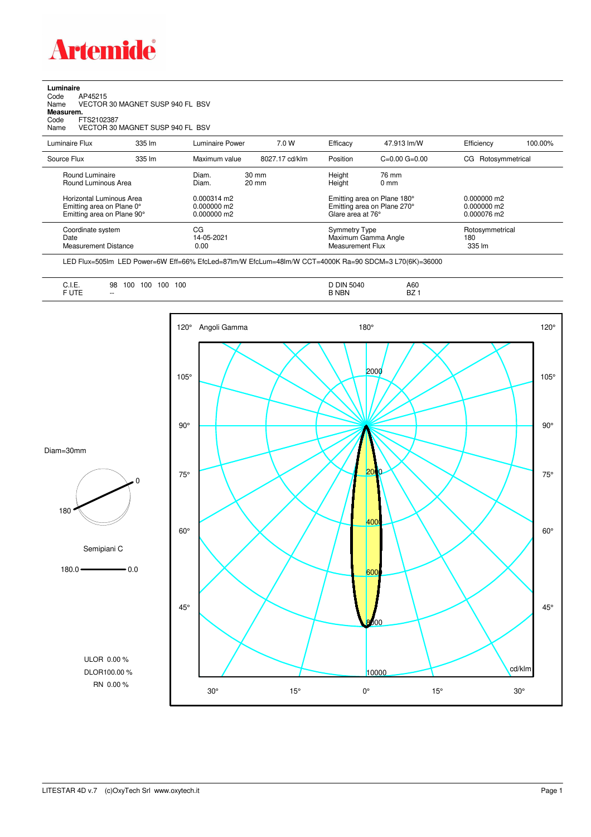

## **Luminaire**<br>Code /<br>Name \ Code AP45215 Name VECTOR 30 MAGNET SUSP 940 FL BSV **Measurem.** Code FTS2102387 Name VECTOR 30 MAGNET SUSP 940 FL BSV

| Luminaire Flux                                                                                                                | 335 lm | Luminaire Power                                                          | 7.0 W                              | Efficacy                              | 47.913 lm/W                                                                           | Efficiency                                    | 100.00% |
|-------------------------------------------------------------------------------------------------------------------------------|--------|--------------------------------------------------------------------------|------------------------------------|---------------------------------------|---------------------------------------------------------------------------------------|-----------------------------------------------|---------|
| Source Flux                                                                                                                   | 335 lm | Maximum value                                                            | 8027.17 cd/klm                     | Position                              | $C=0.00$ $G=0.00$                                                                     | Rotosymmetrical<br>CG                         |         |
| Round Luminaire<br>Round Luminous Area<br>Horizontal Luminous Area<br>Emitting area on Plane 0°<br>Emitting area on Plane 90° |        | Diam.<br>Diam.<br>$0.000314 \text{ m}$<br>$0.000000$ m2<br>$0.000000$ m2 | $30 \text{ mm}$<br>$20 \text{ mm}$ | Height<br>Height<br>Glare area at 76° | 76 mm<br>$0 \text{ mm}$<br>Emitting area on Plane 180°<br>Emitting area on Plane 270° | $0.000000$ m2<br>$0.000000$ m2<br>0.000076 m2 |         |
| Coordinate system<br>Date<br>Measurement Distance                                                                             |        | CG<br>14-05-2021<br>0.00                                                 |                                    | Symmetry Type<br>Measurement Flux     | Maximum Gamma Angle                                                                   | Rotosymmetrical<br>180<br>335 lm              |         |

LED Flux=505lm LED Power=6W Eff=66% EfcLed=87lm/W EfcLum=48lm/W CCT=4000K Ra=90 SDCM=3 L70(6K)=36000